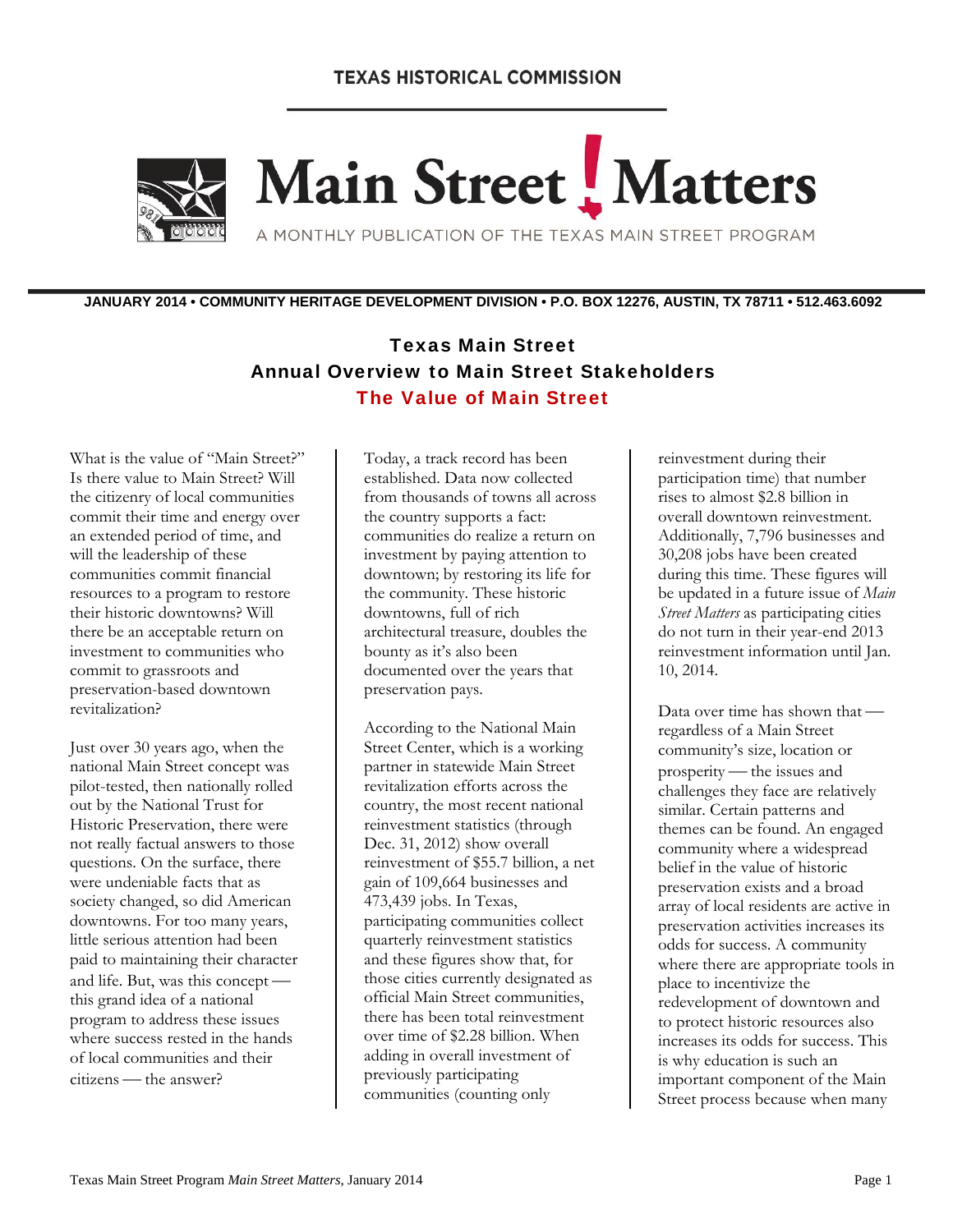## **TEXAS HISTORICAL COMMISSION**



# Main Street Matters

A MONTHLY PUBLICATION OF THE TEXAS MAIN STREET PROGRAM

**JANUARY 2014 • COMMUNITY HERITAGE DEVELOPMENT DIVISION • P.O. BOX 12276, AUSTIN, TX 78711 • 512.463.6092** 

# Texas Main Street Annual Overview to Main Street Stakeholders The Value of Main Street

What is the value of "Main Street?" Is there value to Main Street? Will the citizenry of local communities commit their time and energy over an extended period of time, and will the leadership of these communities commit financial resources to a program to restore their historic downtowns? Will there be an acceptable return on investment to communities who commit to grassroots and preservation-based downtown revitalization?

Just over 30 years ago, when the national Main Street concept was pilot-tested, then nationally rolled out by the National Trust for Historic Preservation, there were not really factual answers to those questions. On the surface, there were undeniable facts that as society changed, so did American downtowns. For too many years, little serious attention had been paid to maintaining their character and life. But, was this concept this grand idea of a national program to address these issues where success rested in the hands of local communities and their citizens - the answer?

Today, a track record has been established. Data now collected from thousands of towns all across the country supports a fact: communities do realize a return on investment by paying attention to downtown; by restoring its life for the community. These historic downtowns, full of rich architectural treasure, doubles the bounty as it's also been documented over the years that preservation pays.

According to the National Main Street Center, which is a working partner in statewide Main Street revitalization efforts across the country, the most recent national reinvestment statistics (through Dec. 31, 2012) show overall reinvestment of \$55.7 billion, a net gain of 109,664 businesses and 473,439 jobs. In Texas, participating communities collect quarterly reinvestment statistics and these figures show that, for those cities currently designated as official Main Street communities, there has been total reinvestment over time of \$2.28 billion. When adding in overall investment of previously participating communities (counting only

reinvestment during their participation time) that number rises to almost \$2.8 billion in overall downtown reinvestment. Additionally, 7,796 businesses and 30,208 jobs have been created during this time. These figures will be updated in a future issue of *Main Street Matters* as participating cities do not turn in their year-end 2013 reinvestment information until Jan. 10, 2014.

Data over time has shown that regardless of a Main Street community's size, location or prosperity — the issues and challenges they face are relatively similar. Certain patterns and themes can be found. An engaged community where a widespread belief in the value of historic preservation exists and a broad array of local residents are active in preservation activities increases its odds for success. A community where there are appropriate tools in place to incentivize the redevelopment of downtown and to protect historic resources also increases its odds for success. This is why education is such an important component of the Main Street process because when many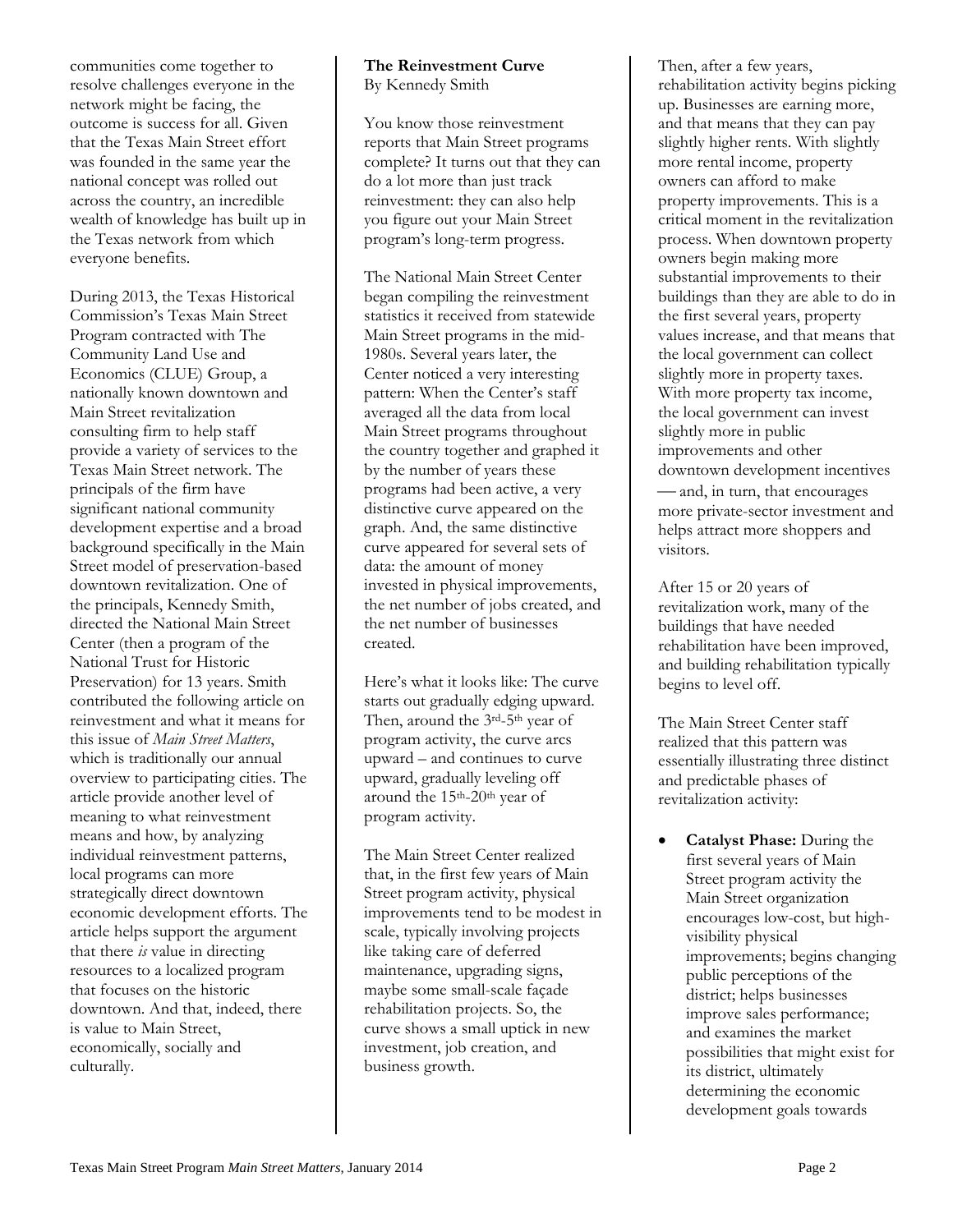communities come together to resolve challenges everyone in the network might be facing, the outcome is success for all. Given that the Texas Main Street effort was founded in the same year the national concept was rolled out across the country, an incredible wealth of knowledge has built up in the Texas network from which everyone benefits.

During 2013, the Texas Historical Commission's Texas Main Street Program contracted with The Community Land Use and Economics (CLUE) Group, a nationally known downtown and Main Street revitalization consulting firm to help staff provide a variety of services to the Texas Main Street network. The principals of the firm have significant national community development expertise and a broad background specifically in the Main Street model of preservation-based downtown revitalization. One of the principals, Kennedy Smith, directed the National Main Street Center (then a program of the National Trust for Historic Preservation) for 13 years. Smith contributed the following article on reinvestment and what it means for this issue of *Main Street Matters*, which is traditionally our annual overview to participating cities. The article provide another level of meaning to what reinvestment means and how, by analyzing individual reinvestment patterns, local programs can more strategically direct downtown economic development efforts. The article helps support the argument that there *is* value in directing resources to a localized program that focuses on the historic downtown. And that, indeed, there is value to Main Street, economically, socially and culturally.

#### **The Reinvestment Curve**  By Kennedy Smith

You know those reinvestment reports that Main Street programs complete? It turns out that they can do a lot more than just track reinvestment: they can also help you figure out your Main Street program's long-term progress.

The National Main Street Center began compiling the reinvestment statistics it received from statewide Main Street programs in the mid-1980s. Several years later, the Center noticed a very interesting pattern: When the Center's staff averaged all the data from local Main Street programs throughout the country together and graphed it by the number of years these programs had been active, a very distinctive curve appeared on the graph. And, the same distinctive curve appeared for several sets of data: the amount of money invested in physical improvements, the net number of jobs created, and the net number of businesses created.

Here's what it looks like: The curve starts out gradually edging upward. Then, around the 3rd-5th year of program activity, the curve arcs upward – and continues to curve upward, gradually leveling off around the 15th-20th year of program activity.

The Main Street Center realized that, in the first few years of Main Street program activity, physical improvements tend to be modest in scale, typically involving projects like taking care of deferred maintenance, upgrading signs, maybe some small-scale façade rehabilitation projects. So, the curve shows a small uptick in new investment, job creation, and business growth.

Then, after a few years, rehabilitation activity begins picking up. Businesses are earning more, and that means that they can pay slightly higher rents. With slightly more rental income, property owners can afford to make property improvements. This is a critical moment in the revitalization process. When downtown property owners begin making more substantial improvements to their buildings than they are able to do in the first several years, property values increase, and that means that the local government can collect slightly more in property taxes. With more property tax income, the local government can invest slightly more in public improvements and other downtown development incentives and, in turn, that encourages more private-sector investment and helps attract more shoppers and visitors.

After 15 or 20 years of revitalization work, many of the buildings that have needed rehabilitation have been improved, and building rehabilitation typically begins to level off.

The Main Street Center staff realized that this pattern was essentially illustrating three distinct and predictable phases of revitalization activity:

 **Catalyst Phase:** During the first several years of Main Street program activity the Main Street organization encourages low-cost, but highvisibility physical improvements; begins changing public perceptions of the district; helps businesses improve sales performance; and examines the market possibilities that might exist for its district, ultimately determining the economic development goals towards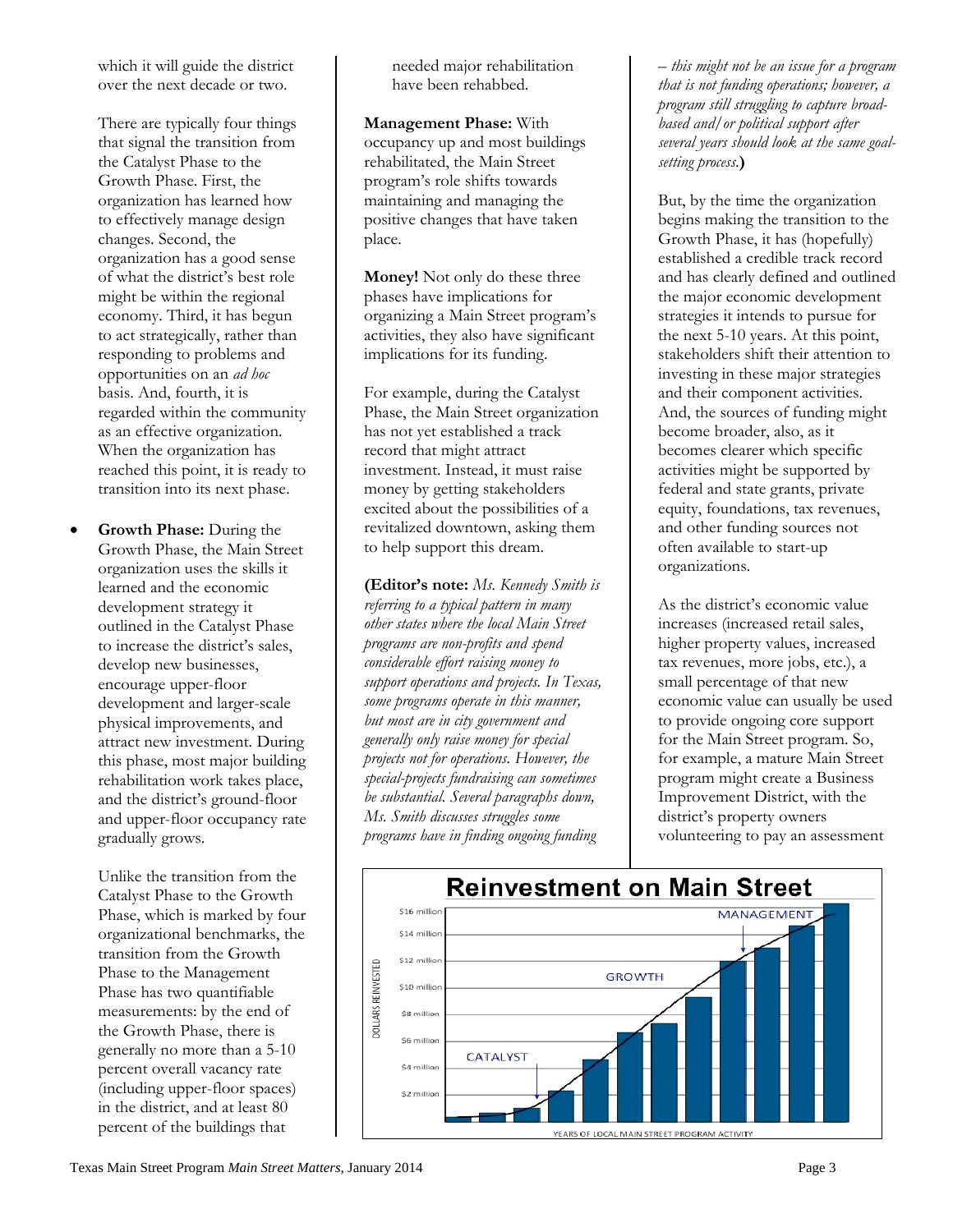which it will guide the district over the next decade or two.

There are typically four things that signal the transition from the Catalyst Phase to the Growth Phase. First, the organization has learned how to effectively manage design changes. Second, the organization has a good sense of what the district's best role might be within the regional economy. Third, it has begun to act strategically, rather than responding to problems and opportunities on an *ad hoc* basis. And, fourth, it is regarded within the community as an effective organization. When the organization has reached this point, it is ready to transition into its next phase.

 **Growth Phase:** During the Growth Phase, the Main Street organization uses the skills it learned and the economic development strategy it outlined in the Catalyst Phase to increase the district's sales, develop new businesses, encourage upper-floor development and larger-scale physical improvements, and attract new investment. During this phase, most major building rehabilitation work takes place, and the district's ground-floor and upper-floor occupancy rate gradually grows.

> Unlike the transition from the Catalyst Phase to the Growth Phase, which is marked by four organizational benchmarks, the transition from the Growth Phase to the Management Phase has two quantifiable measurements: by the end of the Growth Phase, there is generally no more than a 5-10 percent overall vacancy rate (including upper-floor spaces) in the district, and at least 80 percent of the buildings that

needed major rehabilitation have been rehabbed.

**Management Phase:** With occupancy up and most buildings rehabilitated, the Main Street program's role shifts towards maintaining and managing the positive changes that have taken place.

**Money!** Not only do these three phases have implications for organizing a Main Street program's activities, they also have significant implications for its funding.

For example, during the Catalyst Phase, the Main Street organization has not yet established a track record that might attract investment. Instead, it must raise money by getting stakeholders excited about the possibilities of a revitalized downtown, asking them to help support this dream.

**(Editor's note:** *Ms. Kennedy Smith is referring to a typical pattern in many other states where the local Main Street programs are non-profits and spend considerable effort raising money to support operations and projects. In Texas, some programs operate in this manner, but most are in city government and generally only raise money for special projects not for operations. However, the special-projects fundraising can sometimes be substantial. Several paragraphs down, Ms. Smith discusses struggles some programs have in finding ongoing funding* 

*– this might not be an issue for a program that is not funding operations; however, a program still struggling to capture broadbased and/or political support after several years should look at the same goalsetting process*.**)**

But, by the time the organization begins making the transition to the Growth Phase, it has (hopefully) established a credible track record and has clearly defined and outlined the major economic development strategies it intends to pursue for the next 5-10 years. At this point, stakeholders shift their attention to investing in these major strategies and their component activities. And, the sources of funding might become broader, also, as it becomes clearer which specific activities might be supported by federal and state grants, private equity, foundations, tax revenues, and other funding sources not often available to start-up organizations.

As the district's economic value increases (increased retail sales, higher property values, increased tax revenues, more jobs, etc.), a small percentage of that new economic value can usually be used to provide ongoing core support for the Main Street program. So, for example, a mature Main Street program might create a Business Improvement District, with the district's property owners volunteering to pay an assessment

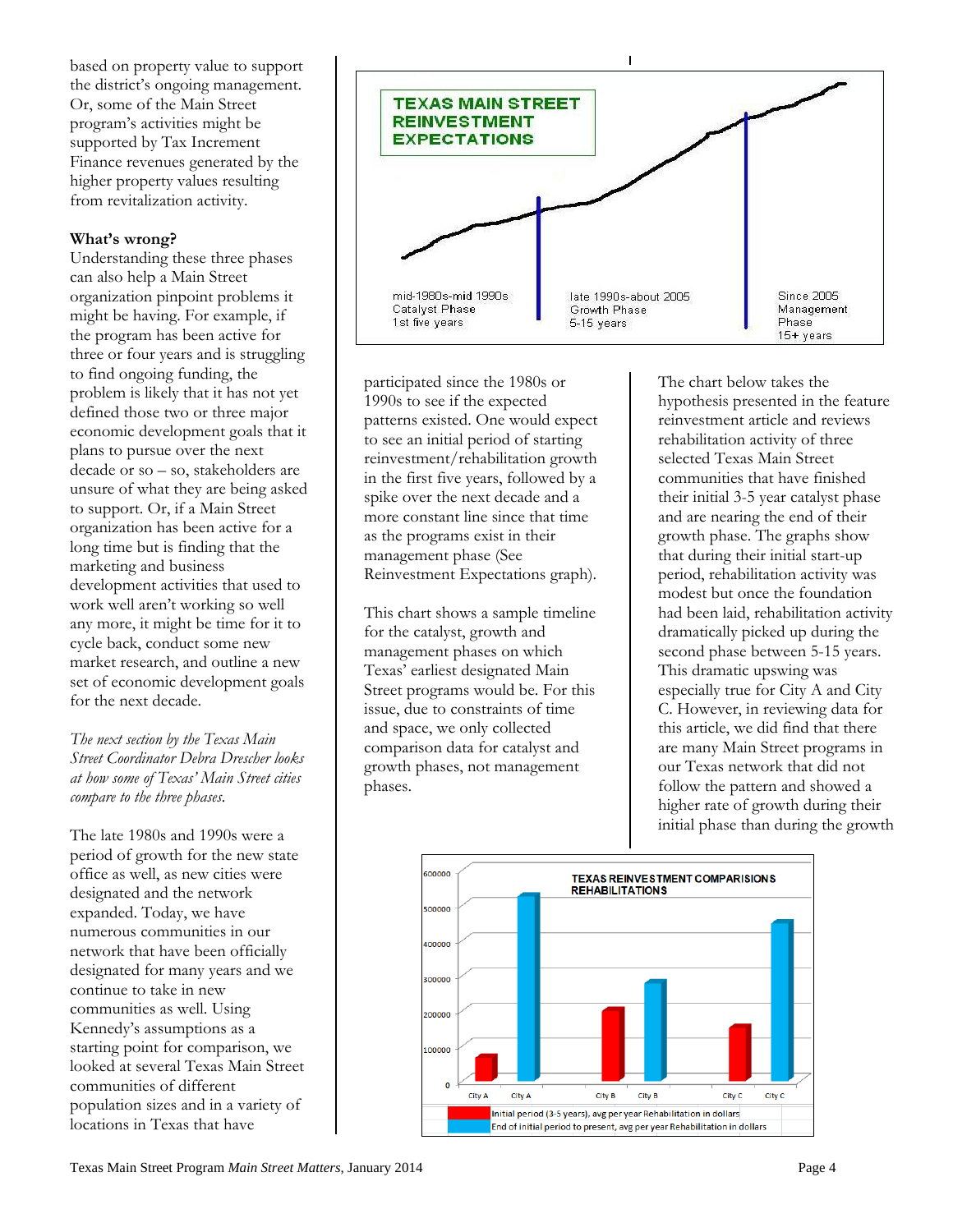based on property value to support the district's ongoing management. Or, some of the Main Street program's activities might be supported by Tax Increment Finance revenues generated by the higher property values resulting from revitalization activity.

#### **What's wrong?**

Understanding these three phases can also help a Main Street organization pinpoint problems it might be having. For example, if the program has been active for three or four years and is struggling to find ongoing funding, the problem is likely that it has not yet defined those two or three major economic development goals that it plans to pursue over the next decade or so – so, stakeholders are unsure of what they are being asked to support. Or, if a Main Street organization has been active for a long time but is finding that the marketing and business development activities that used to work well aren't working so well any more, it might be time for it to cycle back, conduct some new market research, and outline a new set of economic development goals for the next decade.

*The next section by the Texas Main Street Coordinator Debra Drescher looks at how some of Texas' Main Street cities compare to the three phases.*

The late 1980s and 1990s were a period of growth for the new state office as well, as new cities were designated and the network expanded. Today, we have numerous communities in our network that have been officially designated for many years and we continue to take in new communities as well. Using Kennedy's assumptions as a starting point for comparison, we looked at several Texas Main Street communities of different population sizes and in a variety of locations in Texas that have



participated since the 1980s or 1990s to see if the expected patterns existed. One would expect to see an initial period of starting reinvestment/rehabilitation growth in the first five years, followed by a spike over the next decade and a more constant line since that time as the programs exist in their management phase (See Reinvestment Expectations graph).

This chart shows a sample timeline for the catalyst, growth and management phases on which Texas' earliest designated Main Street programs would be. For this issue, due to constraints of time and space, we only collected comparison data for catalyst and growth phases, not management phases.

The chart below takes the hypothesis presented in the feature reinvestment article and reviews rehabilitation activity of three selected Texas Main Street communities that have finished their initial 3-5 year catalyst phase and are nearing the end of their growth phase. The graphs show that during their initial start-up period, rehabilitation activity was modest but once the foundation had been laid, rehabilitation activity dramatically picked up during the second phase between 5-15 years. This dramatic upswing was especially true for City A and City C. However, in reviewing data for this article, we did find that there are many Main Street programs in our Texas network that did not follow the pattern and showed a higher rate of growth during their initial phase than during the growth

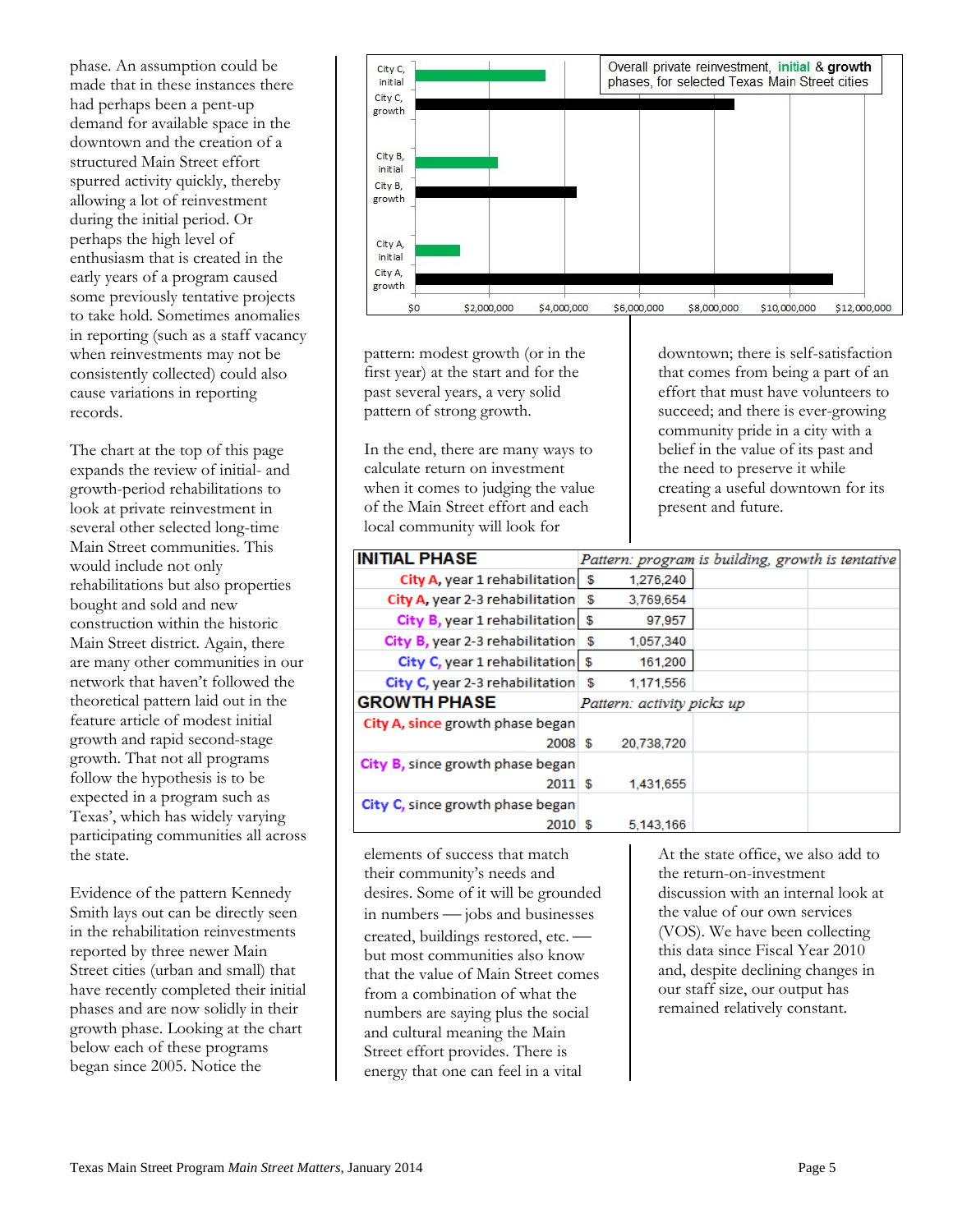phase. An assumption could be made that in these instances there had perhaps been a pent-up demand for available space in the downtown and the creation of a structured Main Street effort spurred activity quickly, thereby allowing a lot of reinvestment during the initial period. Or perhaps the high level of enthusiasm that is created in the early years of a program caused some previously tentative projects to take hold. Sometimes anomalies in reporting (such as a staff vacancy when reinvestments may not be consistently collected) could also cause variations in reporting records.

The chart at the top of this page expands the review of initial- and growth-period rehabilitations to look at private reinvestment in several other selected long-time Main Street communities. This would include not only rehabilitations but also properties bought and sold and new construction within the historic Main Street district. Again, there are many other communities in our network that haven't followed the theoretical pattern laid out in the feature article of modest initial growth and rapid second-stage growth. That not all programs follow the hypothesis is to be expected in a program such as Texas', which has widely varying participating communities all across the state.

Evidence of the pattern Kennedy Smith lays out can be directly seen in the rehabilitation reinvestments reported by three newer Main Street cities (urban and small) that have recently completed their initial phases and are now solidly in their growth phase. Looking at the chart below each of these programs began since 2005. Notice the



pattern: modest growth (or in the first year) at the start and for the past several years, a very solid pattern of strong growth.

In the end, there are many ways to calculate return on investment when it comes to judging the value of the Main Street effort and each local community will look for

downtown; there is self-satisfaction that comes from being a part of an effort that must have volunteers to succeed; and there is ever-growing community pride in a city with a belief in the value of its past and the need to preserve it while creating a useful downtown for its present and future.

| <b>INITIAL PHASE</b>                        | Pattern: program is building, growth is tentative |  |  |
|---------------------------------------------|---------------------------------------------------|--|--|
| City A, year 1 rehabilitation               | \$<br>1.276.240                                   |  |  |
| City A, year 2-3 rehabilitation             | \$<br>3,769,654                                   |  |  |
| City $B$ , year 1 rehabilitation $\sqrt{ }$ | 97,957                                            |  |  |
| City B, year 2-3 rehabilitation             | \$<br>1,057,340                                   |  |  |
| City C, year 1 rehabilitation \$            | 161,200                                           |  |  |
| City C, year 2-3 rehabilitation $\sqrt{ }$  | 1,171,556                                         |  |  |
| <b>GROWTH PHASE</b>                         | Pattern: activity picks up                        |  |  |
| City A, since growth phase began            |                                                   |  |  |
| $2008 \&$                                   | 20,738,720                                        |  |  |
| City B, since growth phase began            |                                                   |  |  |
| 2011S                                       | 1,431,655                                         |  |  |
| City C, since growth phase began            |                                                   |  |  |
| 2010 \$                                     | 5.143.166                                         |  |  |

elements of success that match their community's needs and desires. Some of it will be grounded in numbers — jobs and businesses created, buildings restored, etc. but most communities also know that the value of Main Street comes from a combination of what the numbers are saying plus the social and cultural meaning the Main Street effort provides. There is energy that one can feel in a vital

At the state office, we also add to the return-on-investment discussion with an internal look at the value of our own services (VOS). We have been collecting this data since Fiscal Year 2010 and, despite declining changes in our staff size, our output has remained relatively constant.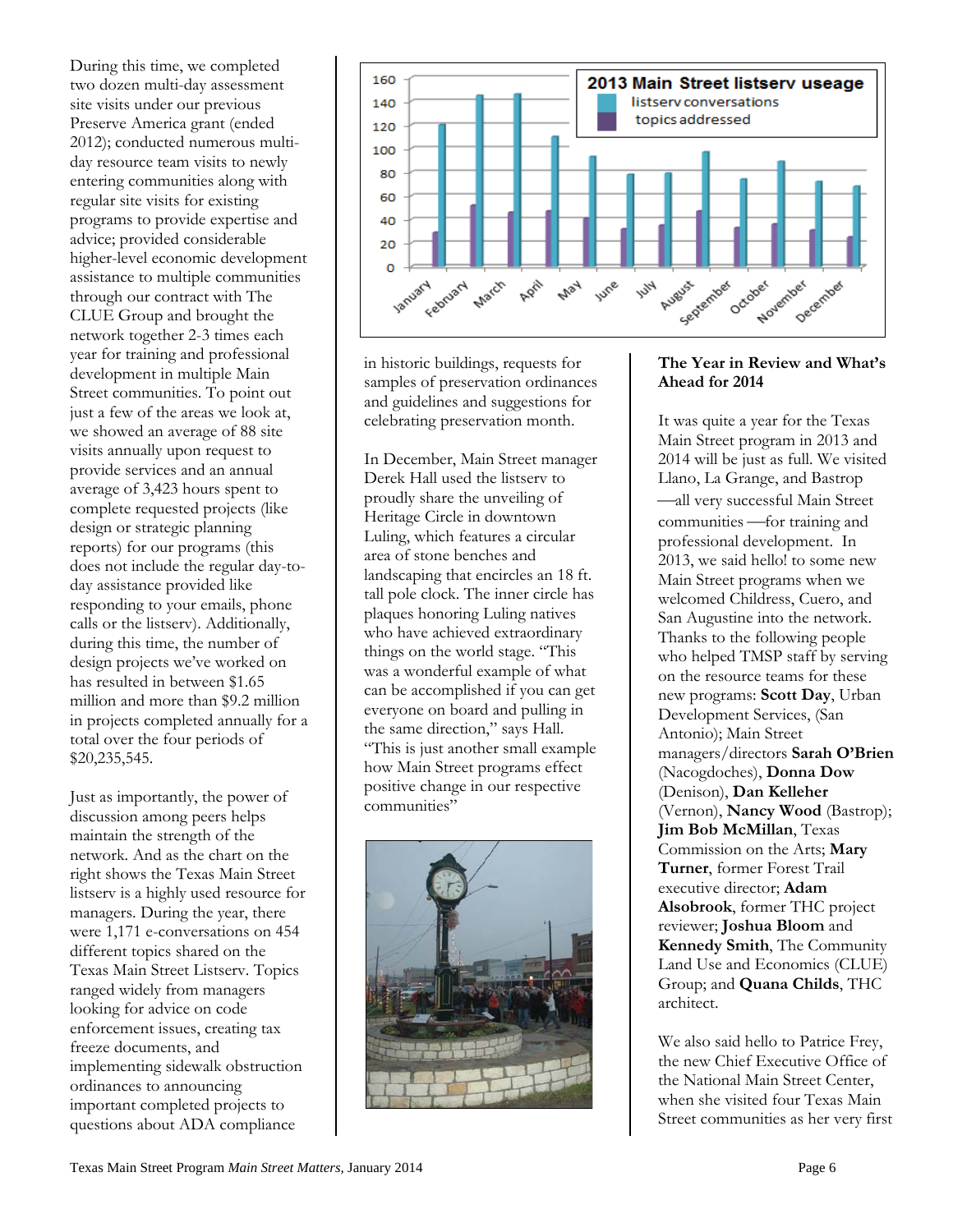During this time, we completed two dozen multi-day assessment site visits under our previous Preserve America grant (ended 2012); conducted numerous multiday resource team visits to newly entering communities along with regular site visits for existing programs to provide expertise and advice; provided considerable higher-level economic development assistance to multiple communities through our contract with The CLUE Group and brought the network together 2-3 times each year for training and professional development in multiple Main Street communities. To point out just a few of the areas we look at, we showed an average of 88 site visits annually upon request to provide services and an annual average of 3,423 hours spent to complete requested projects (like design or strategic planning reports) for our programs (this does not include the regular day-today assistance provided like responding to your emails, phone calls or the listserv). Additionally, during this time, the number of design projects we've worked on has resulted in between \$1.65 million and more than \$9.2 million in projects completed annually for a total over the four periods of \$20,235,545.

Just as importantly, the power of discussion among peers helps maintain the strength of the network. And as the chart on the right shows the Texas Main Street listserv is a highly used resource for managers. During the year, there were 1,171 e-conversations on 454 different topics shared on the Texas Main Street Listserv. Topics ranged widely from managers looking for advice on code enforcement issues, creating tax freeze documents, and implementing sidewalk obstruction ordinances to announcing important completed projects to questions about ADA compliance



in historic buildings, requests for samples of preservation ordinances and guidelines and suggestions for celebrating preservation month.

In December, Main Street manager Derek Hall used the listserv to proudly share the unveiling of Heritage Circle in downtown Luling, which features a circular area of stone benches and landscaping that encircles an 18 ft. tall pole clock. The inner circle has plaques honoring Luling natives who have achieved extraordinary things on the world stage. "This was a wonderful example of what can be accomplished if you can get everyone on board and pulling in the same direction," says Hall. "This is just another small example how Main Street programs effect positive change in our respective communities"



#### **The Year in Review and What's Ahead for 2014**

It was quite a year for the Texas Main Street program in 2013 and 2014 will be just as full. We visited Llano, La Grange, and Bastrop all very successful Main Street communities - for training and professional development. In 2013, we said hello! to some new Main Street programs when we welcomed Childress, Cuero, and San Augustine into the network. Thanks to the following people who helped TMSP staff by serving on the resource teams for these new programs: **Scott Day**, Urban Development Services, (San Antonio); Main Street managers/directors **Sarah O'Brien** (Nacogdoches), **Donna Dow** (Denison), **Dan Kelleher** (Vernon), **Nancy Wood** (Bastrop); **Jim Bob McMillan**, Texas Commission on the Arts; **Mary Turner**, former Forest Trail executive director; **Adam Alsobrook**, former THC project reviewer; **Joshua Bloom** and **Kennedy Smith**, The Community Land Use and Economics (CLUE) Group; and **Quana Childs**, THC architect.

We also said hello to Patrice Frey, the new Chief Executive Office of the National Main Street Center, when she visited four Texas Main Street communities as her very first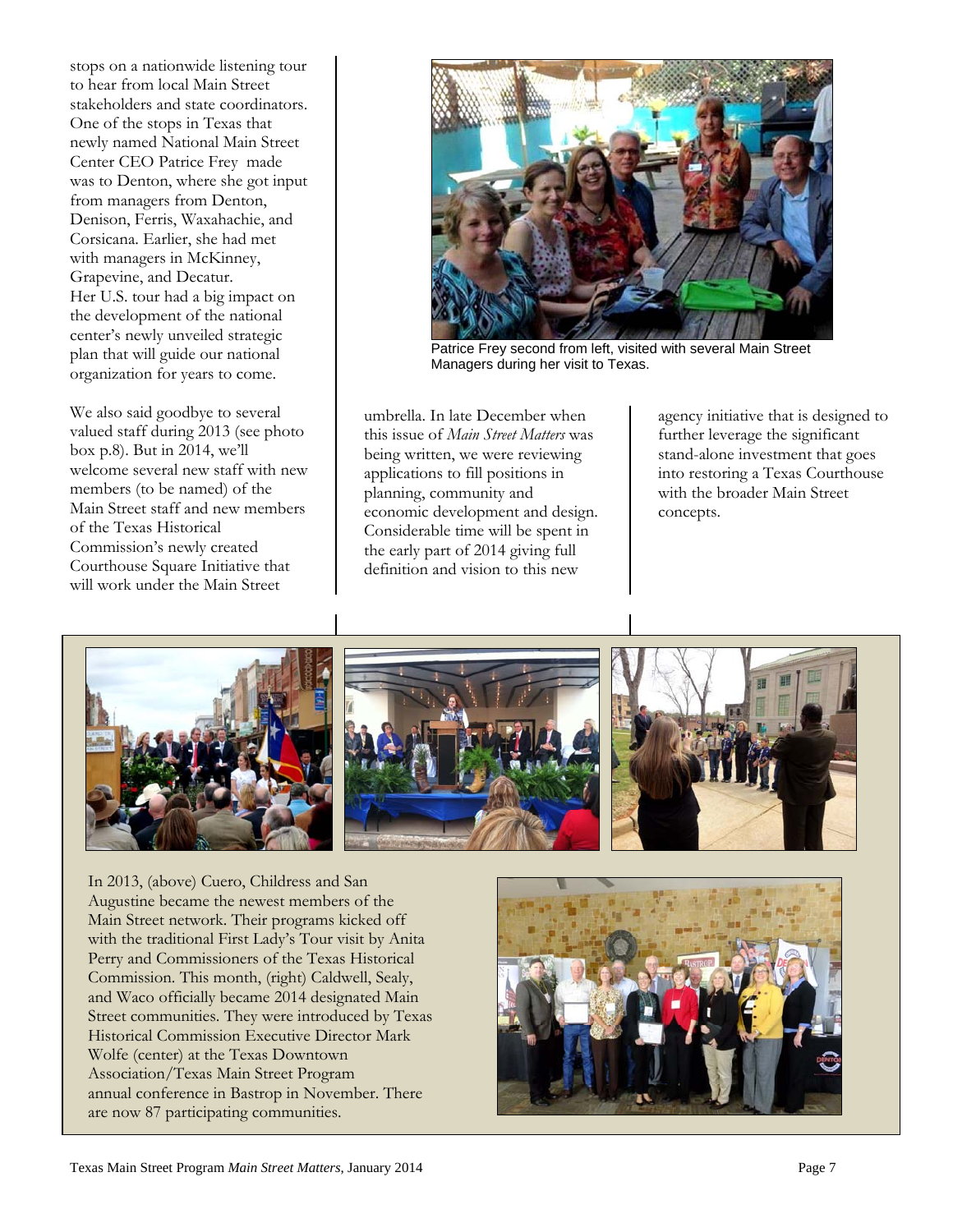stops on a nationwide listening tour to hear from local Main Street stakeholders and state coordinators. One of the stops in Texas that newly named National Main Street Center CEO Patrice Frey made was to Denton, where she got input from managers from Denton, Denison, Ferris, Waxahachie, and Corsicana. Earlier, she had met with managers in McKinney, Grapevine, and Decatur. Her U.S. tour had a big impact on the development of the national center's newly unveiled strategic plan that will guide our national organization for years to come.

We also said goodbye to several valued staff during 2013 (see photo box p.8). But in 2014, we'll welcome several new staff with new members (to be named) of the Main Street staff and new members of the Texas Historical Commission's newly created Courthouse Square Initiative that will work under the Main Street



Patrice Frey second from left, visited with several Main Street Managers during her visit to Texas.

umbrella. In late December when this issue of *Main Street Matters* was being written, we were reviewing applications to fill positions in planning, community and economic development and design. Considerable time will be spent in the early part of 2014 giving full definition and vision to this new

agency initiative that is designed to further leverage the significant stand-alone investment that goes into restoring a Texas Courthouse with the broader Main Street concepts.



In 2013, (above) Cuero, Childress and San Augustine became the newest members of the Main Street network. Their programs kicked off with the traditional First Lady's Tour visit by Anita Perry and Commissioners of the Texas Historical Commission. This month, (right) Caldwell, Sealy, and Waco officially became 2014 designated Main Street communities. They were introduced by Texas Historical Commission Executive Director Mark Wolfe (center) at the Texas Downtown Association/Texas Main Street Program annual conference in Bastrop in November. There are now 87 participating communities.

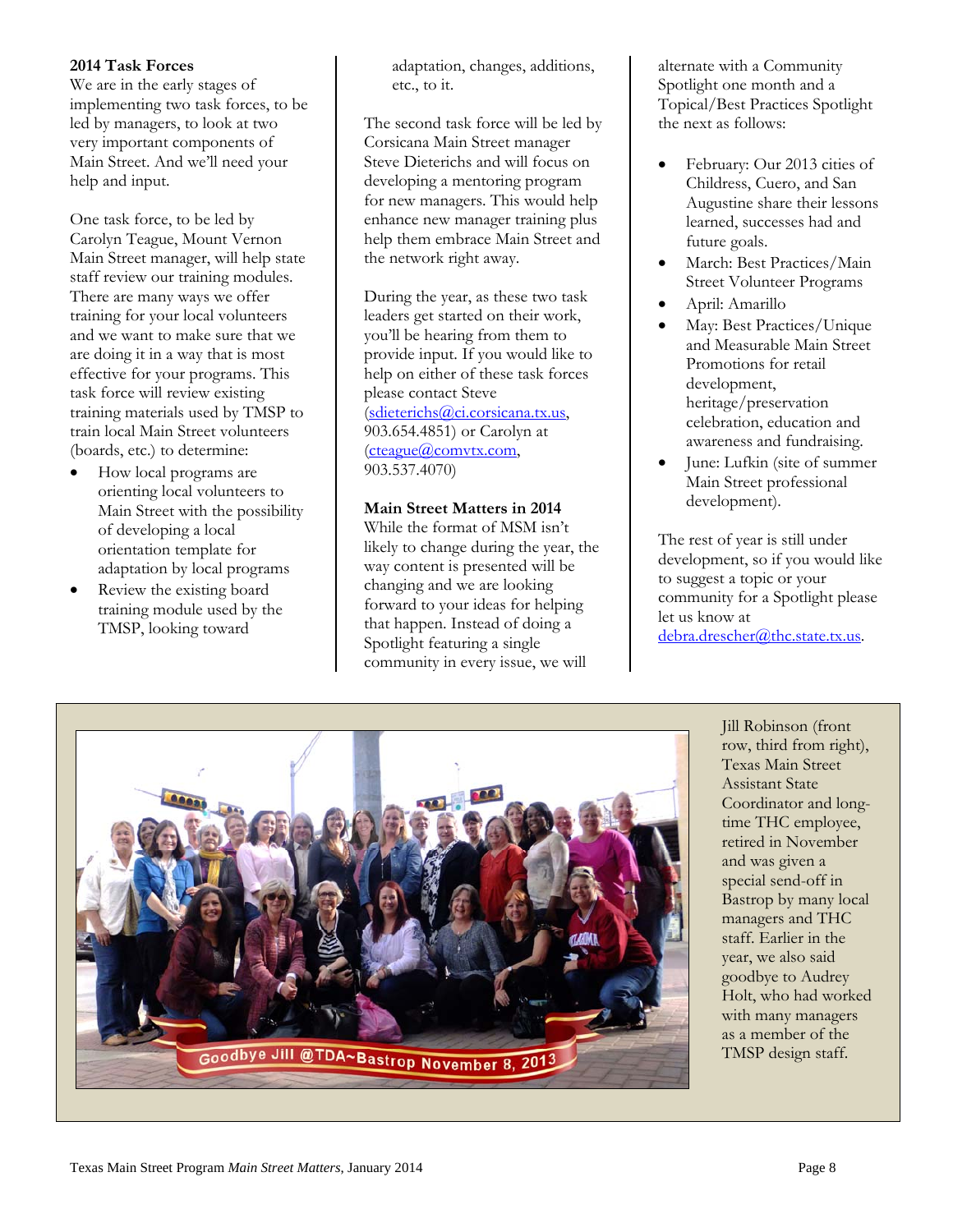#### **2014 Task Forces**

We are in the early stages of implementing two task forces, to be led by managers, to look at two very important components of Main Street. And we'll need your help and input.

One task force, to be led by Carolyn Teague, Mount Vernon Main Street manager, will help state staff review our training modules. There are many ways we offer training for your local volunteers and we want to make sure that we are doing it in a way that is most effective for your programs. This task force will review existing training materials used by TMSP to train local Main Street volunteers (boards, etc.) to determine:

- How local programs are orienting local volunteers to Main Street with the possibility of developing a local orientation template for adaptation by local programs
- Review the existing board training module used by the TMSP, looking toward

adaptation, changes, additions, etc., to it.

The second task force will be led by Corsicana Main Street manager Steve Dieterichs and will focus on developing a mentoring program for new managers. This would help enhance new manager training plus help them embrace Main Street and the network right away.

During the year, as these two task leaders get started on their work, you'll be hearing from them to provide input. If you would like to help on either of these task forces please contact Steve (sdieterichs@ci.corsicana.tx.us, 903.654.4851) or Carolyn at (cteague@comvtx.com, 903.537.4070)

#### **Main Street Matters in 2014**

While the format of MSM isn't likely to change during the year, the way content is presented will be changing and we are looking forward to your ideas for helping that happen. Instead of doing a Spotlight featuring a single community in every issue, we will

alternate with a Community Spotlight one month and a Topical/Best Practices Spotlight the next as follows:

- February: Our 2013 cities of Childress, Cuero, and San Augustine share their lessons learned, successes had and future goals.
- March: Best Practices/Main Street Volunteer Programs
- April: Amarillo
- May: Best Practices/Unique and Measurable Main Street Promotions for retail development, heritage/preservation celebration, education and awareness and fundraising.
- June: Lufkin (site of summer Main Street professional development).

The rest of year is still under development, so if you would like to suggest a topic or your community for a Spotlight please let us know at debra.drescher@thc.state.tx.us.



Jill Robinson (front row, third from right), Texas Main Street Assistant State Coordinator and longtime THC employee, retired in November and was given a special send-off in Bastrop by many local managers and THC staff. Earlier in the year, we also said goodbye to Audrey Holt, who had worked with many managers as a member of the TMSP design staff.